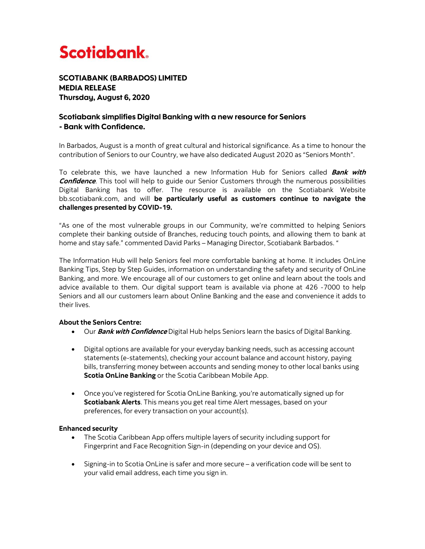

SCOTIABANK (BARBADOS) LIMITED MEDIA RELEASE Thursday, August 6, 2020

# Scotiabank simplifies Digital Banking with a new resource for Seniors - Bank with Confidence.

In Barbados, August is a month of great cultural and historical significance. As a time to honour the contribution of Seniors to our Country, we have also dedicated August 2020 as "Seniors Month".

To celebrate this, we have launched a new Information Hub for Seniors called **Bank with Confidence**. This tool will help to guide our Senior Customers through the numerous possibilities Digital Banking has to offer. The resource is available on the Scotiabank Website bb.scotiabank.com, and will **be particularly useful as customers continue to navigate the challenges presented by COVID-19.**

"As one of the most vulnerable groups in our Community, we're committed to helping Seniors complete their banking outside of Branches, reducing touch points, and allowing them to bank at home and stay safe." commented David Parks – Managing Director, Scotiabank Barbados. "

The Information Hub will help Seniors feel more comfortable banking at home. It includes OnLine Banking Tips, Step by Step Guides, information on understanding the safety and security of OnLine Banking, and more. We encourage all of our customers to get online and learn about the tools and advice available to them. Our digital support team is available via phone at 426 -7000 to help Seniors and all our customers learn about Online Banking and the ease and convenience it adds to their lives.

## **About the Seniors Centre:**

- Our **Bank with Confidence** Digital Hub helps Seniors learn the basics of Digital Banking.
- Digital options are available for your everyday banking needs, such as accessing account statements (e-statements), checking your account balance and account history, paying bills, transferring money between accounts and sending money to other local banks using **Scotia OnLine Banking** or the Scotia Caribbean Mobile App.
- Once you've registered for Scotia OnLine Banking, you're automatically signed up for **Scotiabank Alerts**. This means you get real time Alert messages, based on your preferences, for every transaction on your account(s).

## **Enhanced security**

- The Scotia Caribbean App offers multiple layers of security including support for Fingerprint and Face Recognition Sign-in (depending on your device and OS).
- Signing-in to Scotia OnLine is safer and more secure a verification code will be sent to your valid email address, each time you sign in.